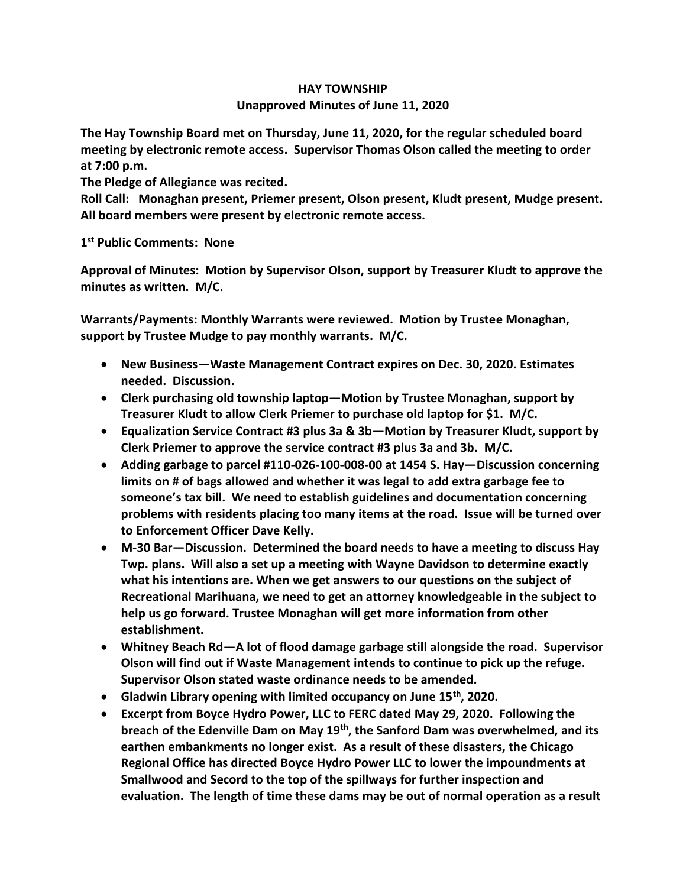## **HAY TOWNSHIP Unapproved Minutes of June 11, 2020**

**The Hay Township Board met on Thursday, June 11, 2020, for the regular scheduled board meeting by electronic remote access. Supervisor Thomas Olson called the meeting to order at 7:00 p.m.** 

**The Pledge of Allegiance was recited.** 

**Roll Call: Monaghan present, Priemer present, Olson present, Kludt present, Mudge present. All board members were present by electronic remote access.**

**1 st Public Comments: None**

**Approval of Minutes: Motion by Supervisor Olson, support by Treasurer Kludt to approve the minutes as written. M/C.**

**Warrants/Payments: Monthly Warrants were reviewed. Motion by Trustee Monaghan, support by Trustee Mudge to pay monthly warrants. M/C.**

- **New Business—Waste Management Contract expires on Dec. 30, 2020. Estimates needed. Discussion.**
- **Clerk purchasing old township laptop—Motion by Trustee Monaghan, support by Treasurer Kludt to allow Clerk Priemer to purchase old laptop for \$1. M/C.**
- **Equalization Service Contract #3 plus 3a & 3b—Motion by Treasurer Kludt, support by Clerk Priemer to approve the service contract #3 plus 3a and 3b. M/C.**
- **Adding garbage to parcel #110-026-100-008-00 at 1454 S. Hay—Discussion concerning limits on # of bags allowed and whether it was legal to add extra garbage fee to someone's tax bill. We need to establish guidelines and documentation concerning problems with residents placing too many items at the road. Issue will be turned over to Enforcement Officer Dave Kelly.**
- **M-30 Bar—Discussion. Determined the board needs to have a meeting to discuss Hay Twp. plans. Will also a set up a meeting with Wayne Davidson to determine exactly what his intentions are. When we get answers to our questions on the subject of Recreational Marihuana, we need to get an attorney knowledgeable in the subject to help us go forward. Trustee Monaghan will get more information from other establishment.**
- **Whitney Beach Rd—A lot of flood damage garbage still alongside the road. Supervisor Olson will find out if Waste Management intends to continue to pick up the refuge. Supervisor Olson stated waste ordinance needs to be amended.**
- **Gladwin Library opening with limited occupancy on June 15th, 2020.**
- **Excerpt from Boyce Hydro Power, LLC to FERC dated May 29, 2020. Following the breach of the Edenville Dam on May 19th, the Sanford Dam was overwhelmed, and its earthen embankments no longer exist. As a result of these disasters, the Chicago Regional Office has directed Boyce Hydro Power LLC to lower the impoundments at Smallwood and Secord to the top of the spillways for further inspection and evaluation. The length of time these dams may be out of normal operation as a result**